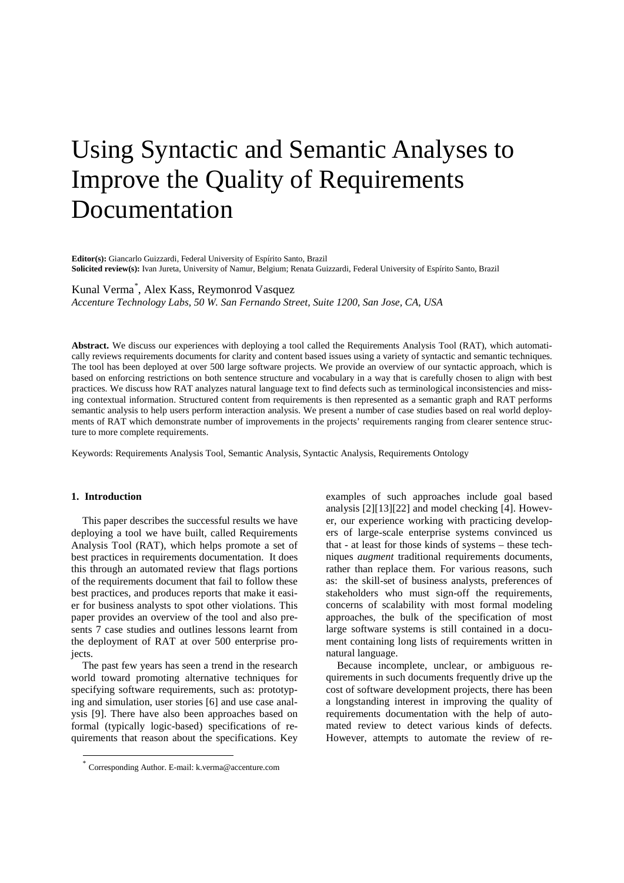# Using Syntactic and Semantic Analyses to Improve the Quality of Requirements Documentation

**Editor(s):** Giancarlo Guizzardi, Federal University of Espírito Santo, Brazil **Solicited review(s):** Ivan Jureta, University of Namur, Belgium; Renata Guizzardi, Federal University of Espírito Santo, Brazil

# Kunal Verma[\\*](#page-0-0) , Alex Kass, Reymonrod Vasquez

*Accenture Technology Labs, 50 W. San Fernando Street, Suite 1200, San Jose, CA, USA*

**Abstract.** We discuss our experiences with deploying a tool called the Requirements Analysis Tool (RAT), which automatically reviews requirements documents for clarity and content based issues using a variety of syntactic and semantic techniques. The tool has been deployed at over 500 large software projects. We provide an overview of our syntactic approach, which is based on enforcing restrictions on both sentence structure and vocabulary in a way that is carefully chosen to align with best practices. We discuss how RAT analyzes natural language text to find defects such as terminological inconsistencies and missing contextual information. Structured content from requirements is then represented as a semantic graph and RAT performs semantic analysis to help users perform interaction analysis. We present a number of case studies based on real world deployments of RAT which demonstrate number of improvements in the projects' requirements ranging from clearer sentence structure to more complete requirements.

Keywords: Requirements Analysis Tool, Semantic Analysis, Syntactic Analysis, Requirements Ontology

#### **1. Introduction**

This paper describes the successful results we have deploying a tool we have built, called Requirements Analysis Tool (RAT), which helps promote a set of best practices in requirements documentation. It does this through an automated review that flags portions of the requirements document that fail to follow these best practices, and produces reports that make it easier for business analysts to spot other violations. This paper provides an overview of the tool and also presents 7 case studies and outlines lessons learnt from the deployment of RAT at over 500 enterprise projects.

The past few years has seen a trend in the research world toward promoting alternative techniques for specifying software requirements, such as: prototyping and simulation, user stories [\[6\]](#page-14-0) and use case analysis [\[9\].](#page-14-1) There have also been approaches based on formal (typically logic-based) specifications of requirements that reason about the specifications. Key

examples of such approaches include goal based analysis [\[2\]\[13\]](#page-13-0)[\[22\]](#page-14-2) and model checking [\[4\].](#page-14-3) However, our experience working with practicing developers of large-scale enterprise systems convinced us that - at least for those kinds of systems – these techniques *augment* traditional requirements documents, rather than replace them. For various reasons, such as: the skill-set of business analysts, preferences of stakeholders who must sign-off the requirements, concerns of scalability with most formal modeling approaches, the bulk of the specification of most large software systems is still contained in a document containing long lists of requirements written in natural language.

Because incomplete, unclear, or ambiguous requirements in such documents frequently drive up the cost of software development projects, there has been a longstanding interest in improving the quality of requirements documentation with the help of automated review to detect various kinds of defects. However, attempts to automate the review of re-

<span id="page-0-0"></span> <sup>\*</sup> Corresponding Author. E-mail: k.verma@accenture.com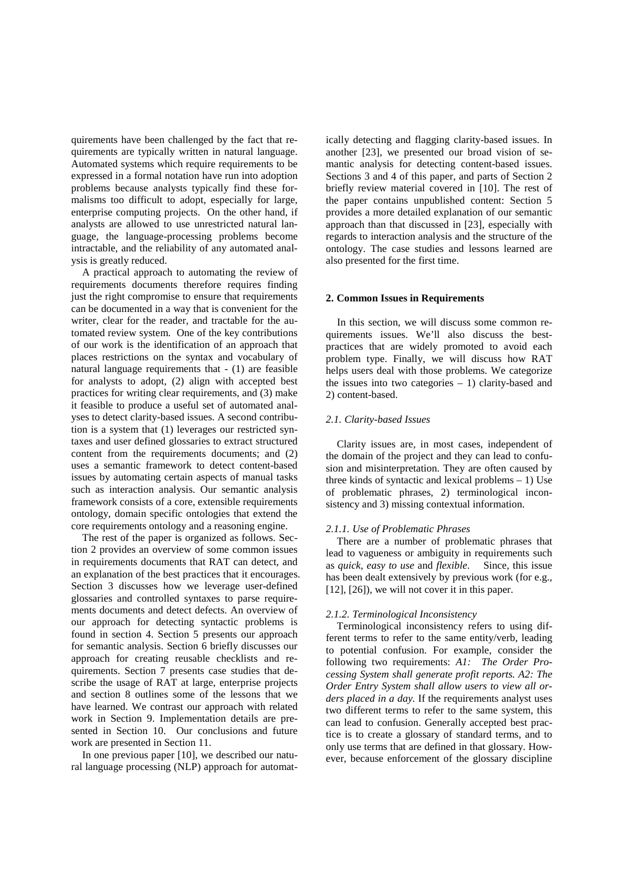quirements have been challenged by the fact that requirements are typically written in natural language. Automated systems which require requirements to be expressed in a formal notation have run into adoption problems because analysts typically find these formalisms too difficult to adopt, especially for large, enterprise computing projects. On the other hand, if analysts are allowed to use unrestricted natural language, the language-processing problems become intractable, and the reliability of any automated analysis is greatly reduced.

A practical approach to automating the review of requirements documents therefore requires finding just the right compromise to ensure that requirements can be documented in a way that is convenient for the writer, clear for the reader, and tractable for the automated review system. One of the key contributions of our work is the identification of an approach that places restrictions on the syntax and vocabulary of natural language requirements that - (1) are feasible for analysts to adopt, (2) align with accepted best practices for writing clear requirements, and (3) make it feasible to produce a useful set of automated analyses to detect clarity-based issues. A second contribution is a system that (1) leverages our restricted syntaxes and user defined glossaries to extract structured content from the requirements documents; and (2) uses a semantic framework to detect content-based issues by automating certain aspects of manual tasks such as interaction analysis. Our semantic analysis framework consists of a core, extensible requirements ontology, domain specific ontologies that extend the core requirements ontology and a reasoning engine.

The rest of the paper is organized as follows. Section 2 provides an overview of some common issues in requirements documents that RAT can detect, and an explanation of the best practices that it encourages. Section 3 discusses how we leverage user-defined glossaries and controlled syntaxes to parse requirements documents and detect defects. An overview of our approach for detecting syntactic problems is found in section 4. Section 5 presents our approach for semantic analysis. Section 6 briefly discusses our approach for creating reusable checklists and requirements. Section 7 presents case studies that describe the usage of RAT at large, enterprise projects and section 8 outlines some of the lessons that we have learned. We contrast our approach with related work in Section 9. Implementation details are presented in Section 10. Our conclusions and future work are presented in Section 11.

In one previous paper [\[10\],](#page-14-4) we described our natural language processing (NLP) approach for automat-

ically detecting and flagging clarity-based issues. In another [\[23\],](#page-14-5) we presented our broad vision of semantic analysis for detecting content-based issues. Sections 3 and 4 of this paper, and parts of Section 2 briefly review material covered in [\[10\].](#page-14-4) The rest of the paper contains unpublished content: Section 5 provides a more detailed explanation of our semantic approach than that discussed in [\[23\],](#page-14-5) especially with regards to interaction analysis and the structure of the ontology. The case studies and lessons learned are also presented for the first time.

#### **2. Common Issues in Requirements**

In this section, we will discuss some common requirements issues. We'll also discuss the bestpractices that are widely promoted to avoid each problem type. Finally, we will discuss how RAT helps users deal with those problems. We categorize the issues into two categories  $-1$ ) clarity-based and 2) content-based.

#### *2.1. Clarity-based Issues*

Clarity issues are, in most cases, independent of the domain of the project and they can lead to confusion and misinterpretation. They are often caused by three kinds of syntactic and lexical problems – 1) Use of problematic phrases, 2) terminological inconsistency and 3) missing contextual information.

#### *2.1.1. Use of Problematic Phrases*

There are a number of problematic phrases that lead to vagueness or ambiguity in requirements such as *quick*, *easy to use* and *flexible*. Since, this issue has been dealt extensively by previous work (for e.g., [\[12\],](#page-14-6) [\[26\]\)](#page-14-7), we will not cover it in this paper.

#### *2.1.2. Terminological Inconsistency*

Terminological inconsistency refers to using different terms to refer to the same entity/verb, leading to potential confusion. For example, consider the following two requirements: *A1: The Order Processing System shall generate profit reports. A2: The Order Entry System shall allow users to view all orders placed in a day.* If the requirements analyst uses two different terms to refer to the same system, this can lead to confusion. Generally accepted best practice is to create a glossary of standard terms, and to only use terms that are defined in that glossary. However, because enforcement of the glossary discipline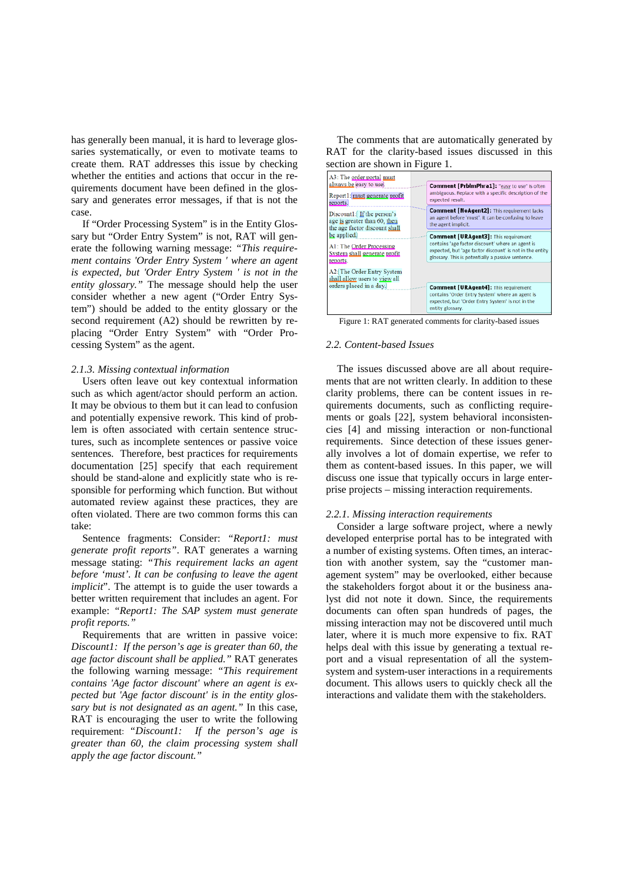has generally been manual, it is hard to leverage glossaries systematically, or even to motivate teams to create them. RAT addresses this issue by checking whether the entities and actions that occur in the requirements document have been defined in the glossary and generates error messages, if that is not the case.

If "Order Processing System" is in the Entity Glossary but "Order Entry System" is not, RAT will generate the following warning message: *"This requirement contains 'Order Entry System ' where an agent is expected, but 'Order Entry System ' is not in the entity glossary."* The message should help the user consider whether a new agent ("Order Entry System") should be added to the entity glossary or the second requirement (A2) should be rewritten by replacing "Order Entry System" with "Order Processing System" as the agent.

#### *2.1.3. Missing contextual information*

Users often leave out key contextual information such as which agent/actor should perform an action. It may be obvious to them but it can lead to confusion and potentially expensive rework. This kind of problem is often associated with certain sentence structures, such as incomplete sentences or passive voice sentences. Therefore, best practices for requirements documentation [\[25\]](#page-14-8) specify that each requirement should be stand-alone and explicitly state who is responsible for performing which function. But without automated review against these practices, they are often violated. There are two common forms this can take:

Sentence fragments: Consider: *"Report1: must generate profit reports"*. RAT generates a warning message stating: *"This requirement lacks an agent before 'must'. It can be confusing to leave the agent implicit*". The attempt is to guide the user towards a better written requirement that includes an agent. For example: *"Report1: The SAP system must generate profit reports."* 

Requirements that are written in passive voice: *Discount1: If the person's age is greater than 60, the age factor discount shall be applied."* RAT generates the following warning message: *"This requirement contains 'Age factor discount' where an agent is expected but 'Age factor discount' is in the entity glossary but is not designated as an agent."* In this case, RAT is encouraging the user to write the following requirement: *"Discount1: If the person's age is greater than 60, the claim processing system shall apply the age factor discount."*

The comments that are automatically generated by RAT for the clarity-based issues discussed in this



<span id="page-2-0"></span>Figure 1: RAT generated comments for clarity-based issues

## *2.2. Content-based Issues*

The issues discussed above are all about requirements that are not written clearly. In addition to these clarity problems, there can be content issues in requirements documents, such as conflicting requirements or goals [\[22\],](#page-14-2) system behavioral inconsistencies [\[4\]](#page-14-3) and missing interaction or non-functional requirements. Since detection of these issues generally involves a lot of domain expertise, we refer to them as content-based issues. In this paper, we will discuss one issue that typically occurs in large enterprise projects – missing interaction requirements.

#### *2.2.1. Missing interaction requirements*

Consider a large software project, where a newly developed enterprise portal has to be integrated with a number of existing systems. Often times, an interaction with another system, say the "customer management system" may be overlooked, either because the stakeholders forgot about it or the business analyst did not note it down. Since, the requirements documents can often span hundreds of pages, the missing interaction may not be discovered until much later, where it is much more expensive to fix. RAT helps deal with this issue by generating a textual report and a visual representation of all the systemsystem and system-user interactions in a requirements document. This allows users to quickly check all the interactions and validate them with the stakeholders.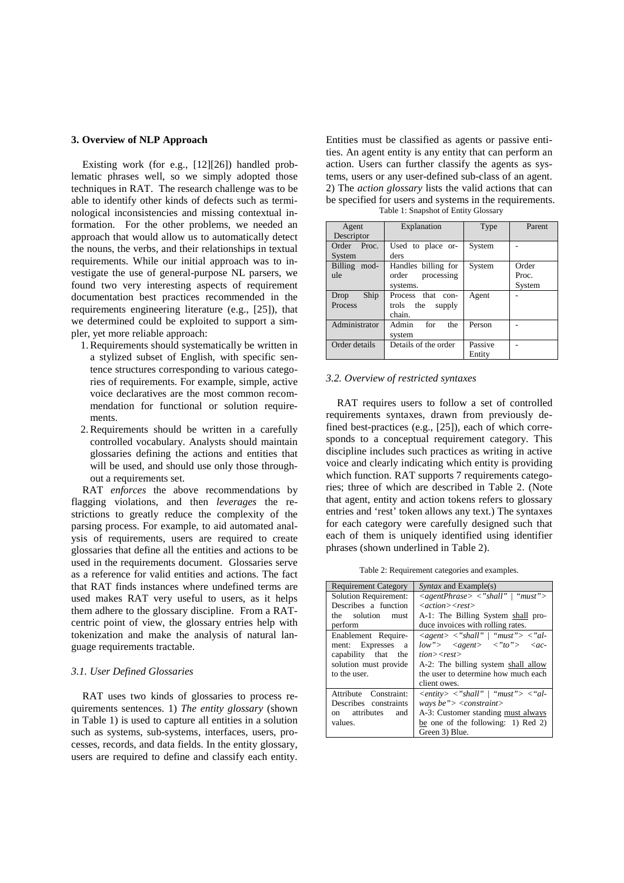#### **3. Overview of NLP Approach**

Existing work (for e.g., [\[12\]\[26\]\)](#page-14-6) handled problematic phrases well, so we simply adopted those techniques in RAT. The research challenge was to be able to identify other kinds of defects such as terminological inconsistencies and missing contextual information. For the other problems, we needed an approach that would allow us to automatically detect the nouns, the verbs, and their relationships in textual requirements. While our initial approach was to investigate the use of general-purpose NL parsers, we found two very interesting aspects of requirement documentation best practices recommended in the requirements engineering literature (e.g., [\[25\]\)](#page-14-8), that we determined could be exploited to support a simpler, yet more reliable approach:

- 1.Requirements should systematically be written in a stylized subset of English, with specific sentence structures corresponding to various categories of requirements. For example, simple, active voice declaratives are the most common recommendation for functional or solution requirements.
- 2.Requirements should be written in a carefully controlled vocabulary. Analysts should maintain glossaries defining the actions and entities that will be used, and should use only those throughout a requirements set.

RAT *enforces* the above recommendations by flagging violations, and then *leverages* the restrictions to greatly reduce the complexity of the parsing process. For example, to aid automated analysis of requirements, users are required to create glossaries that define all the entities and actions to be used in the requirements document. Glossaries serve as a reference for valid entities and actions. The fact that RAT finds instances where undefined terms are used makes RAT very useful to users, as it helps them adhere to the glossary discipline. From a RATcentric point of view, the glossary entries help with tokenization and make the analysis of natural language requirements tractable.

## *3.1. User Defined Glossaries*

RAT uses two kinds of glossaries to process requirements sentences. 1) *The entity glossary* (shown in [Table 1\)](#page-3-0) is used to capture all entities in a solution such as systems, sub-systems, interfaces, users, processes, records, and data fields. In the entity glossary, users are required to define and classify each entity.

Entities must be classified as agents or passive entities. An agent entity is any entity that can perform an action. Users can further classify the agents as systems, users or any user-defined sub-class of an agent. 2) The *action glossary* lists the valid actions that can be specified for users and systems in the requirements. Table 1: Snapshot of Entity Glossary

<span id="page-3-0"></span>

| Agent<br>Descriptor | Explanation          | Type    | Parent |
|---------------------|----------------------|---------|--------|
|                     |                      |         |        |
| Order Proc.         | Used to place or-    | System  |        |
| System              | ders                 |         |        |
| Billing mod-        | Handles billing for  | System  | Order  |
| ule                 | order<br>processing  |         | Proc.  |
|                     | systems.             |         | System |
| Ship<br>Drop        | Process that con-    | Agent   |        |
| Process             | trols the<br>supply  |         |        |
|                     | chain.               |         |        |
| Administrator       | Admin<br>for<br>the  | Person  |        |
|                     | system               |         |        |
| Order details       | Details of the order | Passive |        |
|                     |                      | Entity  |        |

## *3.2. Overview of restricted syntaxes*

RAT requires users to follow a set of controlled requirements syntaxes, drawn from previously defined best-practices (e.g., [\[25\]\)](#page-14-8), each of which corresponds to a conceptual requirement category. This discipline includes such practices as writing in active voice and clearly indicating which entity is providing which function. RAT supports 7 requirements categories; three of which are described in [Table 2.](#page-3-1) (Note that agent, entity and action tokens refers to glossary entries and 'rest' token allows any text.) The syntaxes for each category were carefully designed such that each of them is uniquely identified using identifier phrases (shown underlined in [Table 2\)](#page-3-1).

Table 2: Requirement categories and examples.

<span id="page-3-1"></span>

| <b>Requirement Category</b>  | <i>Syntax</i> and Example(s)                                                                                                                                                                                                                             |
|------------------------------|----------------------------------------------------------------------------------------------------------------------------------------------------------------------------------------------------------------------------------------------------------|
| <b>Solution Requirement:</b> | $\langle$ agentPhrase $\rangle$ $\langle$ " shall"   "must" $\rangle$                                                                                                                                                                                    |
| Describes a function         | $\langle action \rangle \langle rest \rangle$                                                                                                                                                                                                            |
| the solution must            | A-1: The Billing System shall pro-                                                                                                                                                                                                                       |
| perform                      | duce invoices with rolling rates.                                                                                                                                                                                                                        |
| Enablement Require-          | $\langle agent \rangle \langle \mathcal{S}$ \cdots / \cdots \cdots \cdots \cdots \cdots \cdots \cdots \cdots \cdots \cdots \cdots \cdots \cdots \cdots \cdots \cdots \cdots \cdots \cdots \cdots \cdots \cdots \cdots \cdots \cdots \cdots \cdots \cdots |
| ment: Expresses<br>a         | $low$ "> <agent> &lt;"to"&gt; <ac-< td=""></ac-<></agent>                                                                                                                                                                                                |
| capability that the          | $tion \ge$ rest                                                                                                                                                                                                                                          |
| solution must provide        | A-2: The billing system shall allow                                                                                                                                                                                                                      |
| to the user.                 | the user to determine how much each                                                                                                                                                                                                                      |
|                              | client owes.                                                                                                                                                                                                                                             |
| Attribute Constraint:        | $\langle$ entity> $\langle$ "shall"   "must"> $\langle$ "al-                                                                                                                                                                                             |
| Describes constraints        | ways be"> $\langle$ <constraint></constraint>                                                                                                                                                                                                            |
| on attributes and            | A-3: Customer standing must always                                                                                                                                                                                                                       |
| values.                      | be one of the following: 1) Red 2)                                                                                                                                                                                                                       |
|                              | Green 3) Blue.                                                                                                                                                                                                                                           |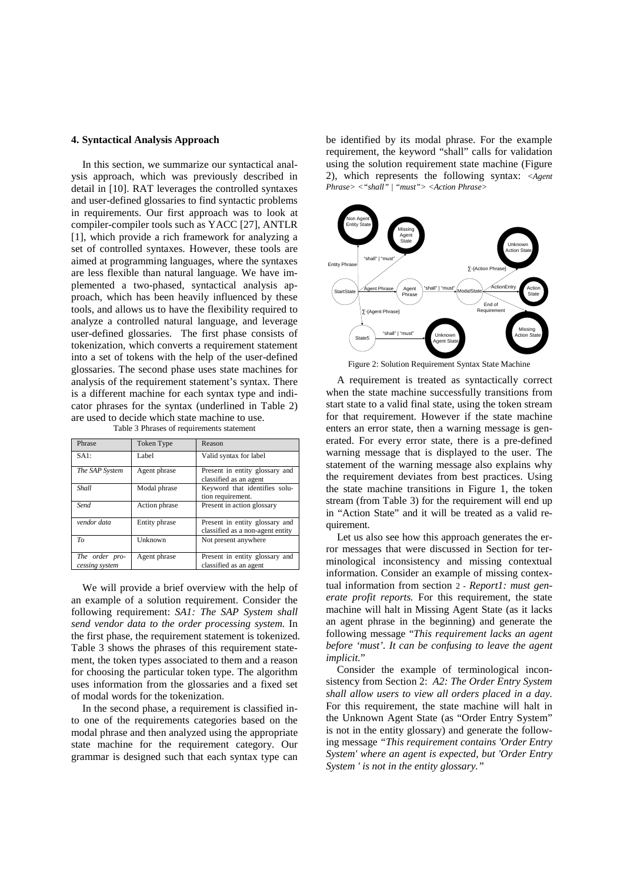#### **4. Syntactical Analysis Approach**

In this section, we summarize our syntactical analysis approach, which was previously described in detail in [\[10\].](#page-14-4) RAT leverages the controlled syntaxes and user-defined glossaries to find syntactic problems in requirements. Our first approach was to look at compiler-compiler tools such as YACC [\[27\],](#page-14-9) ANTLR [\[1\],](#page-13-1) which provide a rich framework for analyzing a set of controlled syntaxes. However, these tools are aimed at programming languages, where the syntaxes are less flexible than natural language. We have implemented a two-phased, syntactical analysis approach, which has been heavily influenced by these tools, and allows us to have the flexibility required to analyze a controlled natural language, and leverage user-defined glossaries. The first phase consists of tokenization, which converts a requirement statement into a set of tokens with the help of the user-defined glossaries. The second phase uses state machines for analysis of the requirement statement's syntax. There is a different machine for each syntax type and indicator phrases for the syntax (underlined in [Table 2\)](#page-3-1) are used to decide which state machine to use.

<span id="page-4-0"></span>

| Phrase                           | Token Type    | Reason                                                             |
|----------------------------------|---------------|--------------------------------------------------------------------|
| SAI:                             | Label         | Valid syntax for label                                             |
| The SAP System                   | Agent phrase  | Present in entity glossary and<br>classified as an agent           |
| Shall                            | Modal phrase  | Keyword that identifies solu-<br>tion requirement.                 |
| Send                             | Action phrase | Present in action glossary                                         |
| vendor data                      | Entity phrase | Present in entity glossary and<br>classified as a non-agent entity |
| T <sub>O</sub>                   | Unknown       | Not present anywhere                                               |
| The order pro-<br>cessing system | Agent phrase  | Present in entity glossary and<br>classified as an agent           |

Table 3 Phrases of requirements statement

We will provide a brief overview with the help of an example of a solution requirement. Consider the following requirement: *SA1: The SAP System shall send vendor data to the order processing system.* In the first phase, the requirement statement is tokenized. [Table 3](#page-4-0) shows the phrases of this requirement statement, the token types associated to them and a reason for choosing the particular token type. The algorithm uses information from the glossaries and a fixed set of modal words for the tokenization.

In the second phase, a requirement is classified into one of the requirements categories based on the modal phrase and then analyzed using the appropriate state machine for the requirement category. Our grammar is designed such that each syntax type can be identified by its modal phrase. For the example requirement, the keyword "shall" calls for validation using the solution requirement state machine [\(Figure](#page-4-1)  [2\)](#page-4-1), which represents the following syntax: *<Agent Phrase> <"shall" | "must"> <Action Phrase>*



Figure 2: Solution Requirement Syntax State Machine

<span id="page-4-1"></span>A requirement is treated as syntactically correct when the state machine successfully transitions from start state to a valid final state, using the token stream for that requirement. However if the state machine enters an error state, then a warning message is generated. For every error state, there is a pre-defined warning message that is displayed to the user. The statement of the warning message also explains why the requirement deviates from best practices. Using the state machine transitions in Figure 1, the token stream (from [Table 3\)](#page-4-0) for the requirement will end up in "Action State" and it will be treated as a valid requirement .

Let us also see how this approach generates the error messages that were discussed in Section for terminological inconsistency and missing contextual information. Consider an example of missing contextual information from section 2 - *Report1: must generate profit reports.* For this requirement, the state machine will halt in Missing Agent State (as it lacks an agent phrase in the beginning) and generate the following message "*This requirement lacks an agent before 'must'. It can be confusing to leave the agent implicit.*"

Consider the example of terminological inconsistency from Section 2: *A2: The Order Entry System shall allow users to view all orders placed in a day.* For this requirement, the state machine will halt in the Unknown Agent State (as "Order Entry System" is not in the entity glossary) and generate the following message *"This requirement contains 'Order Entry System' where an agent is expected, but 'Order Entry System ' is not in the entity glossary."*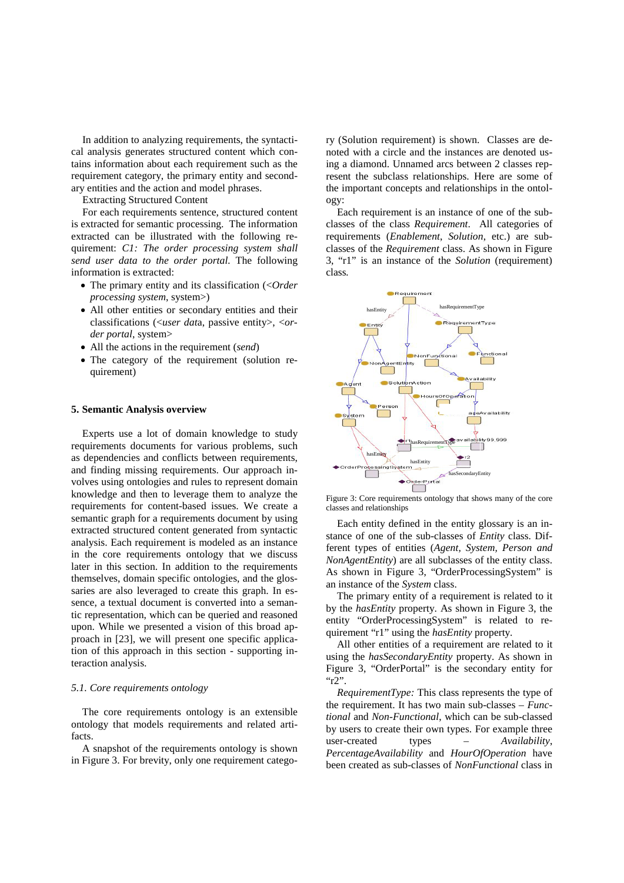In addition to analyzing requirements, the syntactical analysis generates structured content which contains information about each requirement such as the requirement category, the primary entity and secondary entities and the action and model phrases.

Extracting Structured Content

For each requirements sentence, structured content is extracted for semantic processing. The information extracted can be illustrated with the following requirement: *C1: The order processing system shall send user data to the order portal.* The following information is extracted:

- The primary entity and its classification (<*Order processing system*, system>)
- All other entities or secondary entities and their classifications (<*user dat*a, passive entity>, <*order portal*, system>
- All the actions in the requirement (*send*)
- The category of the requirement (solution requirement)

#### **5. Semantic Analysis overview**

Experts use a lot of domain knowledge to study requirements documents for various problems, such as dependencies and conflicts between requirements, and finding missing requirements. Our approach involves using ontologies and rules to represent domain knowledge and then to leverage them to analyze the requirements for content-based issues. We create a semantic graph for a requirements document by using extracted structured content generated from syntactic analysis. Each requirement is modeled as an instance in the core requirements ontology that we discuss later in this section. In addition to the requirements themselves, domain specific ontologies, and the glossaries are also leveraged to create this graph. In essence, a textual document is converted into a semantic representation, which can be queried and reasoned upon. While we presented a vision of this broad approach in [\[23\],](#page-14-5) we will present one specific application of this approach in this section - supporting interaction analysis.

#### *5.1. Core requirements ontology*

The core requirements ontology is an extensible ontology that models requirements and related artifacts.

A snapshot of the requirements ontology is shown in [Figure 3.](#page-5-0) For brevity, only one requirement category (Solution requirement) is shown. Classes are denoted with a circle and the instances are denoted using a diamond. Unnamed arcs between 2 classes represent the subclass relationships. Here are some of the important concepts and relationships in the ontology:

Each requirement is an instance of one of the subclasses of the class *Requirement*. All categories of requirements (*Enablement*, *Solution*, etc.) are subclasses of the *Requirement* class. As shown in [Figure](#page-5-0)  [3,](#page-5-0) "r1" is an instance of the *Solution* (requirement) class*.*



<span id="page-5-0"></span>Figure 3: Core requirements ontology that shows many of the core classes and relationships

Each entity defined in the entity glossary is an instance of one of the sub-classes of *Entity* class. Different types of entities (*Agent, System, Person and NonAgentEntity*) are all subclasses of the entity class. As shown in [Figure 3,](#page-5-0) "OrderProcessingSystem" is an instance of the *System* class.

The primary entity of a requirement is related to it by the *hasEntity* property. As shown in [Figure 3,](#page-5-0) the entity "OrderProcessingSystem" is related to requirement "r1" using the *hasEntity* property.

All other entities of a requirement are related to it using the *hasSecondaryEntity* property. As shown in [Figure 3,](#page-5-0) "OrderPortal" is the secondary entity for "r2".

*RequirementType:* This class represents the type of the requirement. It has two main sub-classes – *Functional* and *Non-Functional*, which can be sub-classed by users to create their own types. For example three user-created types – *Availability*, *PercentageAvailability* and *HourOfOperation* have been created as sub-classes of *NonFunctional* class in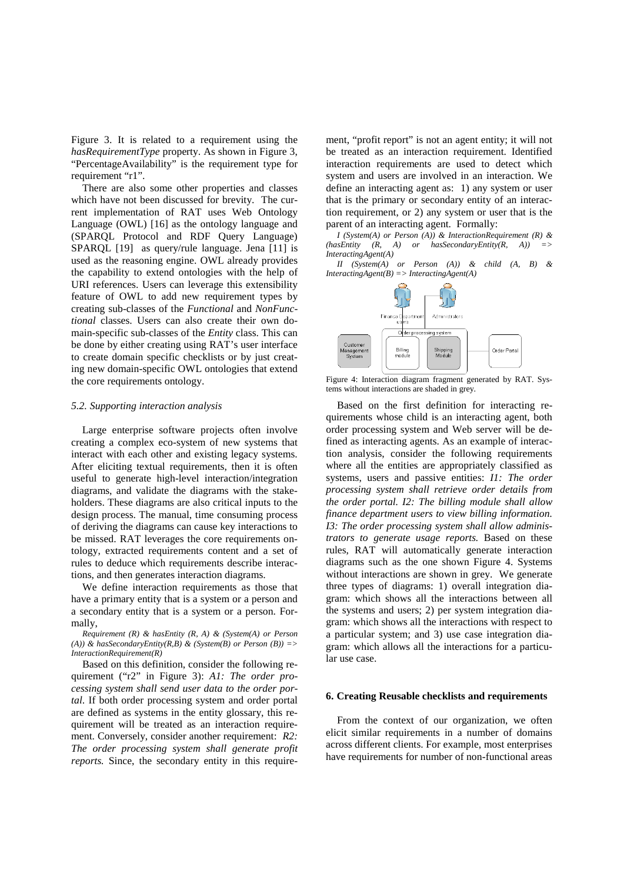[Figure 3.](#page-5-0) It is related to a requirement using the *hasRequirementType* property. As shown in [Figure 3,](#page-5-0) "PercentageAvailability" is the requirement type for requirement "r1".

There are also some other properties and classes which have not been discussed for brevity. The current implementation of RAT uses Web Ontology Language (OWL) [\[16\]](#page-14-10) as the ontology language and (SPARQL Protocol and RDF Query Language) SPARQL [\[19\]](#page-14-11) as query/rule language. Jena [\[11\]](#page-14-12) is used as the reasoning engine. OWL already provides the capability to extend ontologies with the help of URI references. Users can leverage this extensibility feature of OWL to add new requirement types by creating sub-classes of the *Functional* and *NonFunctional* classes. Users can also create their own domain-specific sub-classes of the *Entity* class. This can be done by either creating using RAT's user interface to create domain specific checklists or by just creating new domain-specific OWL ontologies that extend the core requirements ontology.

#### *5.2. Supporting interaction analysis*

Large enterprise software projects often involve creating a complex eco-system of new systems that interact with each other and existing legacy systems. After eliciting textual requirements, then it is often useful to generate high-level interaction/integration diagrams, and validate the diagrams with the stakeholders. These diagrams are also critical inputs to the design process. The manual, time consuming process of deriving the diagrams can cause key interactions to be missed. RAT leverages the core requirements ontology, extracted requirements content and a set of rules to deduce which requirements describe interactions, and then generates interaction diagrams.

We define interaction requirements as those that have a primary entity that is a system or a person and a secondary entity that is a system or a person. Formally,

*Requirement (R) & hasEntity (R, A) & (System(A) or Person (A)) & hasSecondaryEntity(R,B) & (System(B) or Person (B)) => InteractionRequirement(R)*

Based on this definition, consider the following requirement ("r2" in [Figure 3\)](#page-5-0): *A1: The order processing system shall send user data to the order portal*. If both order processing system and order portal are defined as systems in the entity glossary, this requirement will be treated as an interaction requirement. Conversely, consider another requirement: *R2: The order processing system shall generate profit reports.* Since, the secondary entity in this require-

ment, "profit report" is not an agent entity; it will not be treated as an interaction requirement. Identified interaction requirements are used to detect which system and users are involved in an interaction. We define an interacting agent as: 1) any system or user that is the primary or secondary entity of an interaction requirement, or 2) any system or user that is the parent of an interacting agent. Formally:

*I (System(A) or Person (A)) & InteractionRequirement (R) & (hasEntity (R, A) or hasSecondaryEntity(R, A)) => InteractingAgent(A)*

*II (System(A) or Person (A)) & child (A, B) & InteractingAgent(B) => InteractingAgent(A)*



<span id="page-6-0"></span>Figure 4: Interaction diagram fragment generated by RAT. Systems without interactions are shaded in grey.

Based on the first definition for interacting requirements whose child is an interacting agent, both order processing system and Web server will be defined as interacting agents. As an example of interaction analysis, consider the following requirements where all the entities are appropriately classified as systems, users and passive entities: *I1: The order processing system shall retrieve order details from the order portal. I2: The billing module shall allow finance department users to view billing information. I3: The order processing system shall allow administrators to generate usage reports.* Based on these rules, RAT will automatically generate interaction diagrams such as the one shown [Figure 4.](#page-6-0) Systems without interactions are shown in grey. We generate three types of diagrams: 1) overall integration diagram: which shows all the interactions between all the systems and users; 2) per system integration diagram: which shows all the interactions with respect to a particular system; and 3) use case integration diagram: which allows all the interactions for a particular use case.

#### **6. Creating Reusable checklists and requirements**

From the context of our organization, we often elicit similar requirements in a number of domains across different clients. For example, most enterprises have requirements for number of non-functional areas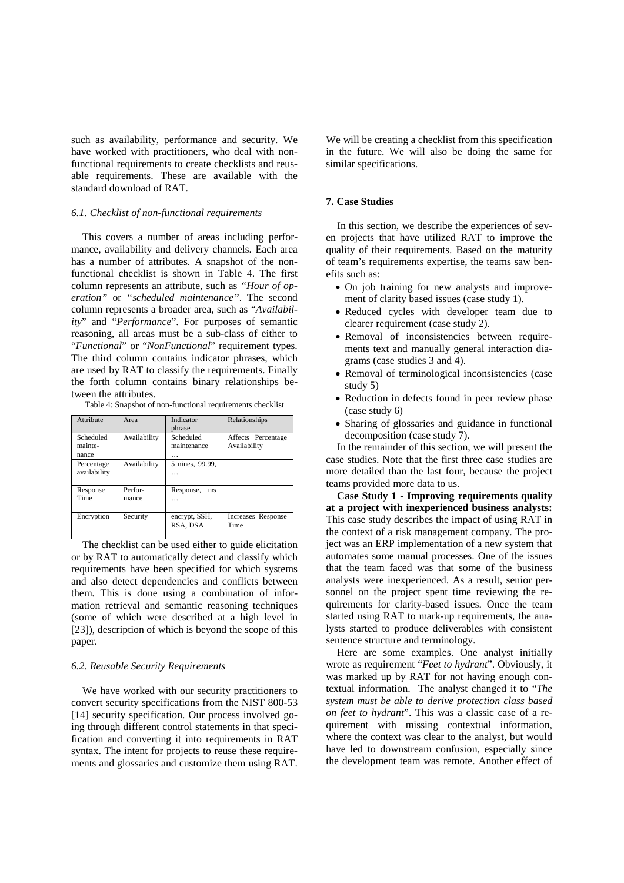such as availability, performance and security. We have worked with practitioners, who deal with nonfunctional requirements to create checklists and reusable requirements. These are available with the standard download of RAT.

## *6.1. Checklist of non-functional requirements*

This covers a number of areas including performance, availability and delivery channels. Each area has a number of attributes. A snapshot of the nonfunctional checklist is shown in [Table 4.](#page-7-0) The first column represents an attribute, such as *"Hour of operation"* or *"scheduled maintenance"*. The second column represents a broader area, such as "*Availability*" and "*Performance*". For purposes of semantic reasoning, all areas must be a sub-class of either to "*Functional*" or "*NonFunctional*" requirement types. The third column contains indicator phrases, which are used by RAT to classify the requirements. Finally the forth column contains binary relationships between the attributes.

Table 4: Snapshot of non-functional requirements checklist

<span id="page-7-0"></span>

| Attribute                     | Area             | Indicator<br>phrase           | Relationships                      |
|-------------------------------|------------------|-------------------------------|------------------------------------|
| Scheduled<br>mainte-<br>nance | Availability     | Scheduled<br>maintenance<br>. | Affects Percentage<br>Availability |
| Percentage<br>availability    | Availability     | 5 nines, 99.99,<br>.          |                                    |
| Response<br>Time              | Perfor-<br>mance | Response,<br>ms<br>$\cdots$   |                                    |
| Encryption                    | Security         | encrypt, SSH,<br>RSA, DSA     | Increases Response<br>Time         |

The checklist can be used either to guide elicitation or by RAT to automatically detect and classify which requirements have been specified for which systems and also detect dependencies and conflicts between them. This is done using a combination of information retrieval and semantic reasoning techniques (some of which were described at a high level in [\[23\]\)](#page-14-5), description of which is beyond the scope of this paper.

#### *6.2. Reusable Security Requirements*

We have worked with our security practitioners to convert security specifications from the NIST 800-53 [\[14\]](#page-14-13) security specification. Our process involved going through different control statements in that specification and converting it into requirements in RAT syntax. The intent for projects to reuse these requirements and glossaries and customize them using RAT. We will be creating a checklist from this specification in the future. We will also be doing the same for similar specifications.

## **7. Case Studies**

In this section, we describe the experiences of seven projects that have utilized RAT to improve the quality of their requirements. Based on the maturity of team's requirements expertise, the teams saw benefits such as:

- On job training for new analysts and improvement of clarity based issues (case study 1).
- Reduced cycles with developer team due to clearer requirement (case study 2).
- Removal of inconsistencies between requirements text and manually general interaction diagrams (case studies 3 and 4).
- Removal of terminological inconsistencies (case study 5)
- Reduction in defects found in peer review phase (case study 6)
- Sharing of glossaries and guidance in functional decomposition (case study 7).

In the remainder of this section, we will present the case studies. Note that the first three case studies are more detailed than the last four, because the project teams provided more data to us.

**Case Study 1 - Improving requirements quality at a project with inexperienced business analysts:** This case study describes the impact of using RAT in the context of a risk management company. The project was an ERP implementation of a new system that automates some manual processes. One of the issues that the team faced was that some of the business analysts were inexperienced. As a result, senior personnel on the project spent time reviewing the requirements for clarity-based issues. Once the team started using RAT to mark-up requirements, the analysts started to produce deliverables with consistent sentence structure and terminology.

Here are some examples. One analyst initially wrote as requirement "*Feet to hydrant*". Obviously, it was marked up by RAT for not having enough contextual information. The analyst changed it to "*The system must be able to derive protection class based on feet to hydrant*". This was a classic case of a requirement with missing contextual information, where the context was clear to the analyst, but would have led to downstream confusion, especially since the development team was remote. Another effect of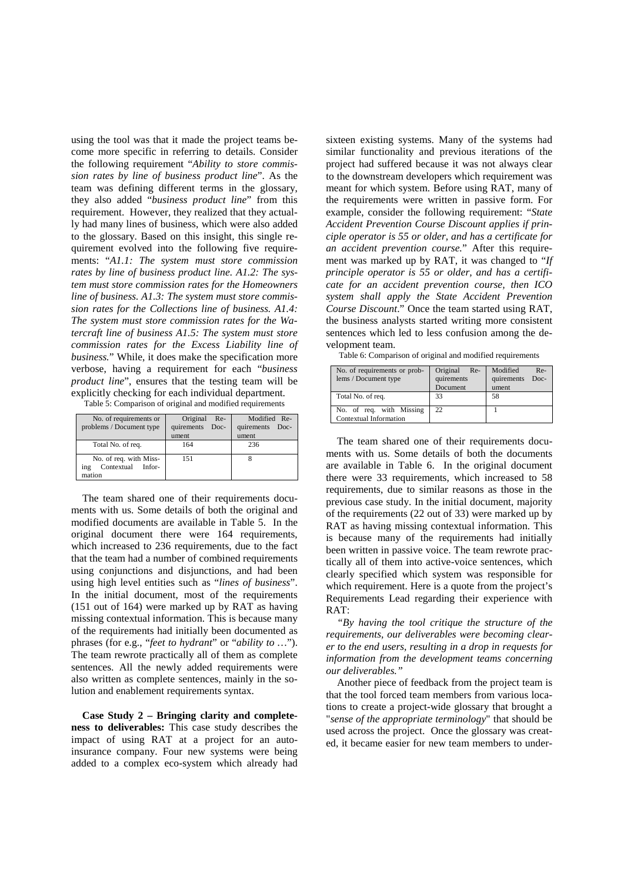using the tool was that it made the project teams become more specific in referring to details. Consider the following requirement "*Ability to store commission rates by line of business product line*". As the team was defining different terms in the glossary, they also added "*business product line*" from this requirement. However, they realized that they actually had many lines of business, which were also added to the glossary. Based on this insight, this single requirement evolved into the following five requirements: "*A1.1: The system must store commission rates by line of business product line. A1.2: The system must store commission rates for the Homeowners line of business. A1.3: The system must store commission rates for the Collections line of business. A1.4: The system must store commission rates for the Watercraft line of business A1.5: The system must store commission rates for the Excess Liability line of business.*" While, it does make the specification more verbose, having a requirement for each "*business product line*", ensures that the testing team will be explicitly checking for each individual department. Table 5: Comparison of original and modified requirements

<span id="page-8-0"></span>

| No. of requirements or<br>problems / Document type              | Original<br>$Re-$<br>quirements<br>Doc-<br>ument | Modified Re-<br>quirements<br>Doc-<br>ument |
|-----------------------------------------------------------------|--------------------------------------------------|---------------------------------------------|
| Total No. of req.                                               | 164                                              | 236                                         |
| No. of req. with Miss-<br>Contextual<br>Infor-<br>ing<br>mation | 151                                              |                                             |

The team shared one of their requirements documents with us. Some details of both the original and modified documents are available in [Table 5.](#page-8-0) In the original document there were 164 requirements, which increased to 236 requirements, due to the fact that the team had a number of combined requirements using conjunctions and disjunctions, and had been using high level entities such as "*lines of business*". In the initial document, most of the requirements (151 out of 164) were marked up by RAT as having missing contextual information. This is because many of the requirements had initially been documented as phrases (for e.g., "*feet to hydrant*" or "*ability to …*"). The team rewrote practically all of them as complete sentences. All the newly added requirements were also written as complete sentences, mainly in the solution and enablement requirements syntax.

**Case Study 2 – Bringing clarity and completeness to deliverables:** This case study describes the impact of using RAT at a project for an autoinsurance company. Four new systems were being added to a complex eco-system which already had

sixteen existing systems. Many of the systems had similar functionality and previous iterations of the project had suffered because it was not always clear to the downstream developers which requirement was meant for which system. Before using RAT, many of the requirements were written in passive form. For example, consider the following requirement: "*State Accident Prevention Course Discount applies if principle operator is 55 or older, and has a certificate for an accident prevention course.*" After this requirement was marked up by RAT, it was changed to "*If principle operator is 55 or older, and has a certificate for an accident prevention course, then ICO system shall apply the State Accident Prevention Course Discount*." Once the team started using RAT, the business analysts started writing more consistent sentences which led to less confusion among the development team.

Table 6: Comparison of original and modified requirements

<span id="page-8-1"></span>

| No. of requirements or prob-<br>lems / Document type | Original<br>Re-<br>quirements<br>Document | Modified<br>$Re-$<br>quirements<br>Doc-<br>ument |
|------------------------------------------------------|-------------------------------------------|--------------------------------------------------|
| Total No. of req.                                    | 33                                        | 58                                               |
| No. of req. with Missing<br>Contextual Information   | 22                                        |                                                  |

The team shared one of their requirements documents with us. Some details of both the documents are available in [Table 6.](#page-8-1) In the original document there were 33 requirements, which increased to 58 requirements, due to similar reasons as those in the previous case study. In the initial document, majority of the requirements (22 out of 33) were marked up by RAT as having missing contextual information. This is because many of the requirements had initially been written in passive voice. The team rewrote practically all of them into active-voice sentences, which clearly specified which system was responsible for which requirement. Here is a quote from the project's Requirements Lead regarding their experience with RAT:

*"By having the tool critique the structure of the requirements, our deliverables were becoming clearer to the end users, resulting in a drop in requests for information from the development teams concerning our deliverables."*

Another piece of feedback from the project team is that the tool forced team members from various locations to create a project-wide glossary that brought a "*sense of the appropriate terminology*" that should be used across the project. Once the glossary was created, it became easier for new team members to under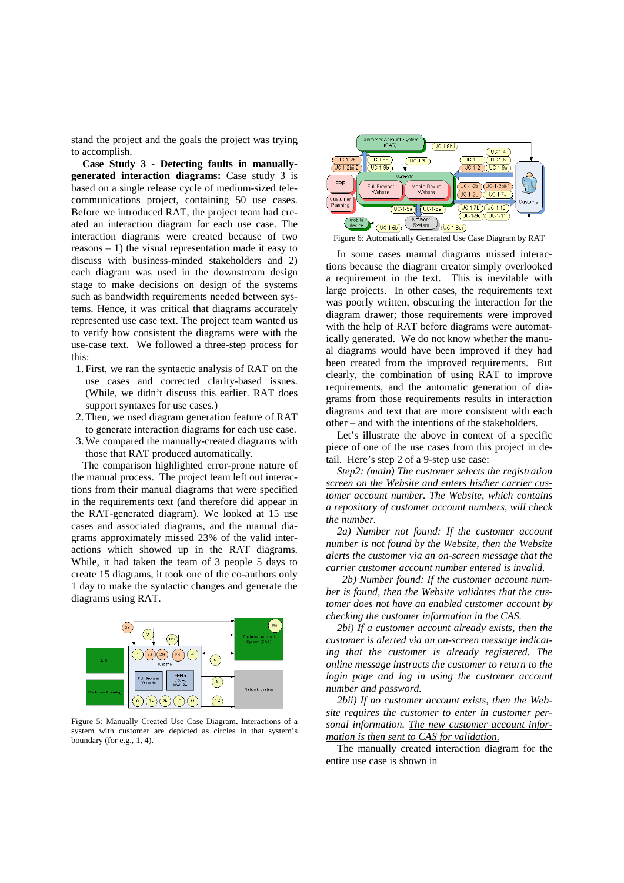stand the project and the goals the project was trying to accomplish.

**Case Study 3 - Detecting faults in manuallygenerated interaction diagrams:** Case study 3 is based on a single release cycle of medium-sized telecommunications project, containing 50 use cases. Before we introduced RAT, the project team had created an interaction diagram for each use case. The interaction diagrams were created because of two reasons – 1) the visual representation made it easy to discuss with business-minded stakeholders and 2) each diagram was used in the downstream design stage to make decisions on design of the systems such as bandwidth requirements needed between systems. Hence, it was critical that diagrams accurately represented use case text. The project team wanted us to verify how consistent the diagrams were with the use-case text. We followed a three-step process for this:

- 1. First, we ran the syntactic analysis of RAT on the use cases and corrected clarity-based issues. (While, we didn't discuss this earlier. RAT does support syntaxes for use cases.)
- 2.Then, we used diagram generation feature of RAT to generate interaction diagrams for each use case.
- 3.We compared the manually-created diagrams with those that RAT produced automatically.

The comparison highlighted error-prone nature of the manual process. The project team left out interactions from their manual diagrams that were specified in the requirements text (and therefore did appear in the RAT-generated diagram). We looked at 15 use cases and associated diagrams, and the manual diagrams approximately missed 23% of the valid interactions which showed up in the RAT diagrams. While, it had taken the team of 3 people 5 days to create 15 diagrams, it took one of the co-authors only 1 day to make the syntactic changes and generate the diagrams using RAT.



Figure 5: Manually Created Use Case Diagram. Interactions of a system with customer are depicted as circles in that system's boundary (for e.g., 1, 4).



<span id="page-9-1"></span>Figure 6: Automatically Generated Use Case Diagram by RAT

In some cases manual diagrams missed interactions because the diagram creator simply overlooked a requirement in the text. This is inevitable with large projects. In other cases, the requirements text was poorly written, obscuring the interaction for the diagram drawer; those requirements were improved with the help of RAT before diagrams were automatically generated. We do not know whether the manual diagrams would have been improved if they had been created from the improved requirements. But clearly, the combination of using RAT to improve requirements, and the automatic generation of diagrams from those requirements results in interaction diagrams and text that are more consistent with each other – and with the intentions of the stakeholders.

Let's illustrate the above in context of a specific piece of one of the use cases from this project in detail. Here's step 2 of a 9-step use case:

*Step2: (main) The customer selects the registration screen on the Website and enters his/her carrier customer account number . The Website, which contains a repository of customer account numbers, will check the number.*

*2a) Number not found: If the customer account number is not found by the Website, then the Website alerts the customer via an on-screen message that the carrier customer account number entered is invalid.*

 *2b) Number found: If the customer account number is found, then the Website validates that the customer does not have an enabled customer account by checking the customer information in the CAS.*

<span id="page-9-0"></span>*2bi) If a customer account already exists, then the customer is alerted via an on-screen message indicating that the customer is already registered. The online message instructs the customer to return to the login page and log in using the customer account number and password.* 

*2bii) If no customer account exists, then the Website requires the customer to enter in customer personal information. The new customer account information is then sent to CAS for validation.*

The manually created interaction diagram for the entire use case is shown in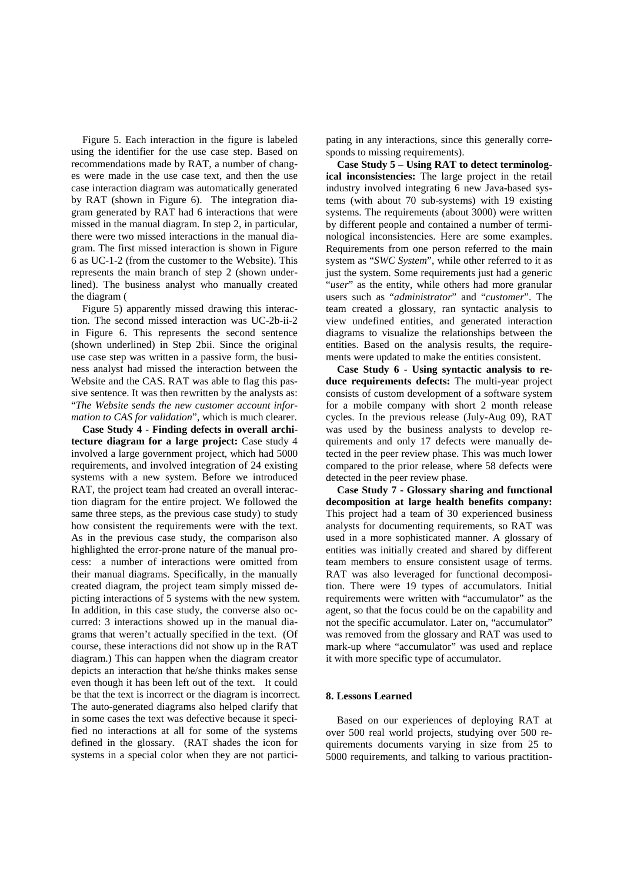Figure 5. Each interaction in the figure is labeled using the identifier for the use case step. Based on recommendations made by RAT, a number of changes were made in the use case text, and then the use case interaction diagram was automatically generated by RAT (shown in [Figure 6\)](#page-9-1). The integration diagram generated by RAT had 6 interactions that were missed in the manual diagram. In step 2, in particular, there were two missed interactions in the manual diagram. The first missed interaction is shown in [Figure](#page-9-1)  [6](#page-9-1) as UC-1-2 (from the customer to the Website). This represents the main branch of step 2 (shown underlined). The business analyst who manually created the diagram [\(](#page-9-0)

[Figure 5\)](#page-9-0) apparently missed drawing this interaction. The second missed interaction was UC-2b-ii-2 in [Figure 6.](#page-9-1) This represents the second sentence (shown underlined) in Step 2bii. Since the original use case step was written in a passive form, the business analyst had missed the interaction between the Website and the CAS. RAT was able to flag this passive sentence. It was then rewritten by the analysts as: "*The Website sends the new customer account information to CAS for validation*", which is much clearer.

**Case Study 4 - Finding defects in overall architecture diagram for a large project:** Case study 4 involved a large government project, which had 5000 requirements, and involved integration of 24 existing systems with a new system. Before we introduced RAT, the project team had created an overall interaction diagram for the entire project. We followed the same three steps, as the previous case study) to study how consistent the requirements were with the text. As in the previous case study, the comparison also highlighted the error-prone nature of the manual process: a number of interactions were omitted from their manual diagrams. Specifically, in the manually created diagram, the project team simply missed depicting interactions of 5 systems with the new system. In addition, in this case study, the converse also occurred: 3 interactions showed up in the manual diagrams that weren't actually specified in the text. (Of course, these interactions did not show up in the RAT diagram.) This can happen when the diagram creator depicts an interaction that he/she thinks makes sense even though it has been left out of the text. It could be that the text is incorrect or the diagram is incorrect. The auto-generated diagrams also helped clarify that in some cases the text was defective because it specified no interactions at all for some of the systems defined in the glossary. (RAT shades the icon for systems in a special color when they are not participating in any interactions, since this generally corresponds to missing requirements).

**Case Study 5 – Using RAT to detect terminological inconsistencies:** The large project in the retail industry involved integrating 6 new Java-based systems (with about 70 sub-systems) with 19 existing systems. The requirements (about 3000) were written by different people and contained a number of terminological inconsistencies. Here are some examples. Requirements from one person referred to the main system as "*SWC System*", while other referred to it as just the system. Some requirements just had a generic "*user*" as the entity, while others had more granular users such as "*administrator*" and "*customer*". The team created a glossary, ran syntactic analysis to view undefined entities, and generated interaction diagrams to visualize the relationships between the entities. Based on the analysis results, the requirements were updated to make the entities consistent.

**Case Study 6 - Using syntactic analysis to reduce requirements defects:** The multi-year project consists of custom development of a software system for a mobile company with short 2 month release cycles. In the previous release (July-Aug 09), RAT was used by the business analysts to develop requirements and only 17 defects were manually detected in the peer review phase. This was much lower compared to the prior release, where 58 defects were detected in the peer review phase.

**Case Study 7 - Glossary sharing and functional decomposition at large health benefits company:** This project had a team of 30 experienced business analysts for documenting requirements, so RAT was used in a more sophisticated manner. A glossary of entities was initially created and shared by different team members to ensure consistent usage of terms. RAT was also leveraged for functional decomposition. There were 19 types of accumulators. Initial requirements were written with "accumulator" as the agent, so that the focus could be on the capability and not the specific accumulator. Later on, "accumulator" was removed from the glossary and RAT was used to mark-up where "accumulator" was used and replace it with more specific type of accumulator.

## **8. Lessons Learned**

Based on our experiences of deploying RAT at over 500 real world projects, studying over 500 requirements documents varying in size from 25 to 5000 requirements, and talking to various practition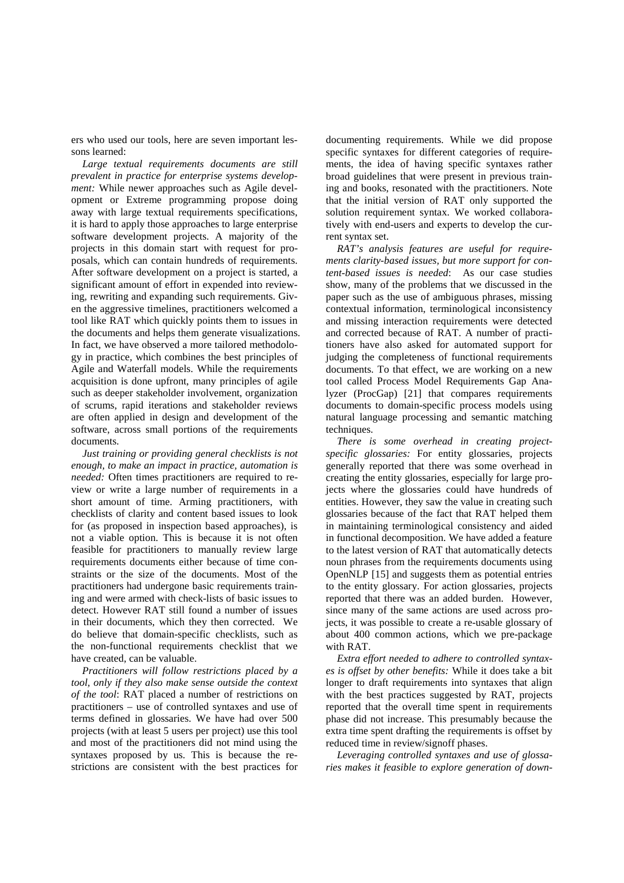ers who used our tools, here are seven important lessons learned:

*Large textual requirements documents are still prevalent in practice for enterprise systems development:* While newer approaches such as Agile development or Extreme programming propose doing away with large textual requirements specifications, it is hard to apply those approaches to large enterprise software development projects. A majority of the projects in this domain start with request for proposals, which can contain hundreds of requirements. After software development on a project is started, a significant amount of effort in expended into reviewing, rewriting and expanding such requirements. Given the aggressive timelines, practitioners welcomed a tool like RAT which quickly points them to issues in the documents and helps them generate visualizations. In fact, we have observed a more tailored methodology in practice, which combines the best principles of Agile and Waterfall models. While the requirements acquisition is done upfront, many principles of agile such as deeper stakeholder involvement, organization of scrums, rapid iterations and stakeholder reviews are often applied in design and development of the software, across small portions of the requirements documents.

*Just training or providing general checklists is not enough, to make an impact in practice, automation is needed:* Often times practitioners are required to review or write a large number of requirements in a short amount of time. Arming practitioners, with checklists of clarity and content based issues to look for (as proposed in inspection based approaches), is not a viable option. This is because it is not often feasible for practitioners to manually review large requirements documents either because of time constraints or the size of the documents. Most of the practitioners had undergone basic requirements training and were armed with check-lists of basic issues to detect. However RAT still found a number of issues in their documents, which they then corrected. We do believe that domain-specific checklists, such as the non-functional requirements checklist that we have created, can be valuable.

*Practitioners will follow restrictions placed by a tool, only if they also make sense outside the context of the tool*: RAT placed a number of restrictions on practitioners – use of controlled syntaxes and use of terms defined in glossaries. We have had over 500 projects (with at least 5 users per project) use this tool and most of the practitioners did not mind using the syntaxes proposed by us. This is because the restrictions are consistent with the best practices for

documenting requirements. While we did propose specific syntaxes for different categories of requirements, the idea of having specific syntaxes rather broad guidelines that were present in previous training and books, resonated with the practitioners. Note that the initial version of RAT only supported the solution requirement syntax. We worked collaboratively with end-users and experts to develop the current syntax set.

*RAT's analysis features are useful for requirements clarity-based issues, but more support for content-based issues is needed*: As our case studies show, many of the problems that we discussed in the paper such as the use of ambiguous phrases, missing contextual information, terminological inconsistency and missing interaction requirements were detected and corrected because of RAT. A number of practitioners have also asked for automated support for judging the completeness of functional requirements documents. To that effect, we are working on a new tool called Process Model Requirements Gap Analyzer (ProcGap) [\[21\]](#page-14-14) that compares requirements documents to domain-specific process models using natural language processing and semantic matching techniques.

*There is some overhead in creating projectspecific glossaries:* For entity glossaries, projects generally reported that there was some overhead in creating the entity glossaries, especially for large projects where the glossaries could have hundreds of entities. However, they saw the value in creating such glossaries because of the fact that RAT helped them in maintaining terminological consistency and aided in functional decomposition. We have added a feature to the latest version of RAT that automatically detects noun phrases from the requirements documents using OpenNLP [\[15\]](#page-14-15) and suggests them as potential entries to the entity glossary. For action glossaries, projects reported that there was an added burden. However, since many of the same actions are used across projects, it was possible to create a re-usable glossary of about 400 common actions, which we pre-package with RAT.

*Extra effort needed to adhere to controlled syntaxes is offset by other benefits:* While it does take a bit longer to draft requirements into syntaxes that align with the best practices suggested by RAT, projects reported that the overall time spent in requirements phase did not increase. This presumably because the extra time spent drafting the requirements is offset by reduced time in review/signoff phases.

*Leveraging controlled syntaxes and use of glossaries makes it feasible to explore generation of down-*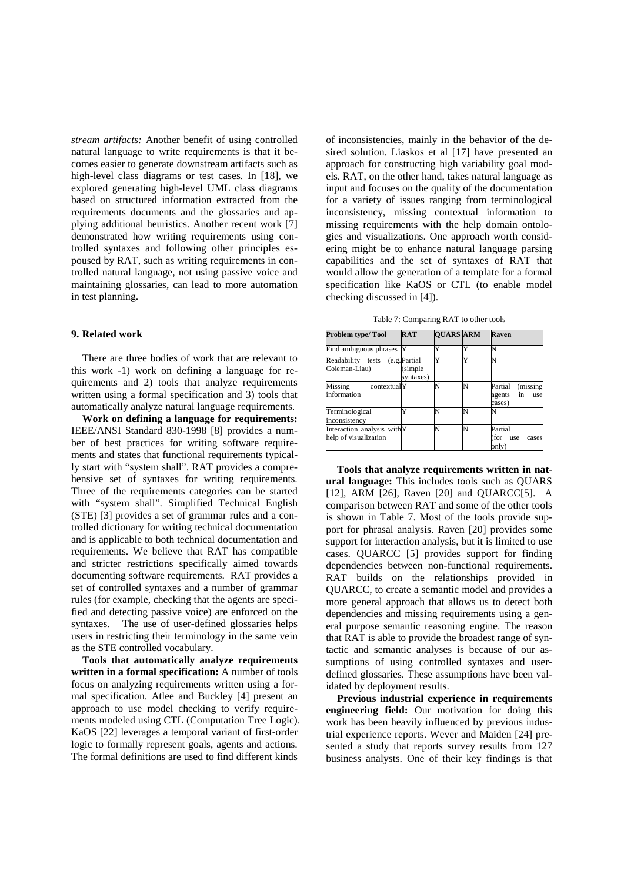*stream artifacts:* Another benefit of using controlled natural language to write requirements is that it becomes easier to generate downstream artifacts such as high-level class diagrams or test cases. In [\[18\],](#page-14-16) we explored generating high-level UML class diagrams based on structured information extracted from the requirements documents and the glossaries and applying additional heuristics. Another recent work [\[7\]](#page-14-17) demonstrated how writing requirements using controlled syntaxes and following other principles espoused by RAT, such as writing requirements in controlled natural language, not using passive voice and maintaining glossaries, can lead to more automation in test planning.

## **9. Related work**

There are three bodies of work that are relevant to this work -1) work on defining a language for requirements and 2) tools that analyze requirements written using a formal specification and 3) tools that automatically analyze natural language requirements.

**Work on defining a language for requirements:** IEEE/ANSI Standard 830-1998 [\[8\]](#page-14-18) provides a number of best practices for writing software requirements and states that functional requirements typically start with "system shall". RAT provides a comprehensive set of syntaxes for writing requirements. Three of the requirements categories can be started with "system shall". Simplified Technical English (STE) [\[3\]](#page-14-19) provides a set of grammar rules and a controlled dictionary for writing technical documentation and is applicable to both technical documentation and requirements. We believe that RAT has compatible and stricter restrictions specifically aimed towards documenting software requirements. RAT provides a set of controlled syntaxes and a number of grammar rules (for example, checking that the agents are specified and detecting passive voice) are enforced on the syntaxes. The use of user-defined glossaries helps users in restricting their terminology in the same vein as the STE controlled vocabulary.

**Tools that automatically analyze requirements written in a formal specification:** A number of tools focus on analyzing requirements written using a formal specification. Atlee and Buckley [\[4\]](#page-14-3) present an approach to use model checking to verify requirements modeled using CTL (Computation Tree Logic). KaOS [\[22\]](#page-14-2) leverages a temporal variant of first-order logic to formally represent goals, agents and actions. The formal definitions are used to find different kinds

of inconsistencies, mainly in the behavior of the desired solution. Liaskos et al [\[17\]](#page-14-20) have presented an approach for constructing high variability goal models. RAT, on the other hand, takes natural language as input and focuses on the quality of the documentation for a variety of issues ranging from terminological inconsistency, missing contextual information to missing requirements with the help domain ontologies and visualizations. One approach worth considering might be to enhance natural language parsing capabilities and the set of syntaxes of RAT that would allow the generation of a template for a formal specification like KaOS or CTL (to enable model checking discussed in [\[4\]\)](#page-14-3).

Table 7: Comparing RAT to other tools

<span id="page-12-0"></span>

| Problem type/Tool                                   | <b>RAT</b>                            | <b>OUARS ARM</b> |    | Raven                                                |
|-----------------------------------------------------|---------------------------------------|------------------|----|------------------------------------------------------|
| Find ambiguous phrases                              | Y                                     |                  | v, | N                                                    |
| Readability tests<br>Coleman-Liau)                  | (e.g. Partial<br>(simple<br>syntaxes) |                  |    | N                                                    |
| Missing<br>contextualY<br>information               |                                       | N                | N  | Partial<br>(missing<br>agents<br>in<br>use<br>cases) |
| Terminological<br>inconsistency                     |                                       | N                | N  |                                                      |
| Interaction analysis withY<br>help of visualization |                                       | N                | N  | Partial<br>(for<br>use<br>cases<br>only)             |

**Tools that analyze requirements written in natural language:** This includes tools such as QUARS [\[12\],](#page-14-6) ARM [\[26\],](#page-14-7) Raven [\[20\]](#page-14-21) and QUARC[C\[5\].](#page-14-22) A comparison between RAT and some of the other tools is shown in [Table 7.](#page-12-0) Most of the tools provide support for phrasal analysis. Raven [\[20\]](#page-14-21) provides some support for interaction analysis, but it is limited to use cases. QUARCC [\[5\]](#page-14-22) provides support for finding dependencies between non-functional requirements. RAT builds on the relationships provided in QUARCC, to create a semantic model and provides a more general approach that allows us to detect both dependencies and missing requirements using a general purpose semantic reasoning engine. The reason that RAT is able to provide the broadest range of syntactic and semantic analyses is because of our assumptions of using controlled syntaxes and userdefined glossaries. These assumptions have been validated by deployment results.

**Previous industrial experience in requirements engineering field:** Our motivation for doing this work has been heavily influenced by previous industrial experience reports. Wever and Maiden [\[24\]](#page-14-23) presented a study that reports survey results from 127 business analysts. One of their key findings is that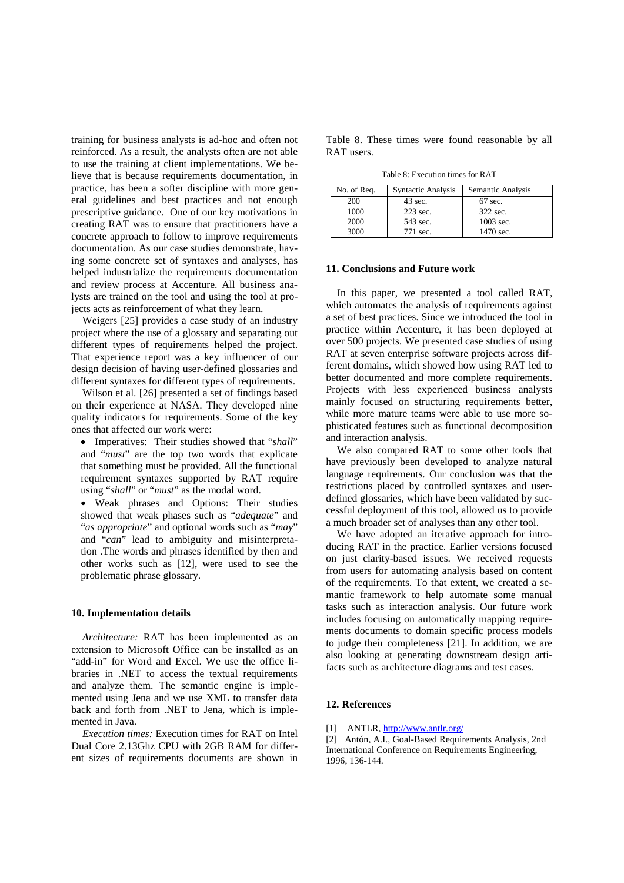training for business analysts is ad-hoc and often not reinforced. As a result, the analysts often are not able to use the training at client implementations. We believe that is because requirements documentation, in practice, has been a softer discipline with more general guidelines and best practices and not enough prescriptive guidance. One of our key motivations in creating RAT was to ensure that practitioners have a concrete approach to follow to improve requirements documentation. As our case studies demonstrate, having some concrete set of syntaxes and analyses, has helped industrialize the requirements documentation and review process at Accenture. All business analysts are trained on the tool and using the tool at projects acts as reinforcement of what they learn.

Weigers [\[25\]](#page-14-8) provides a case study of an industry project where the use of a glossary and separating out different types of requirements helped the project. That experience report was a key influencer of our design decision of having user-defined glossaries and different syntaxes for different types of requirements.

Wilson et al. [\[26\]](#page-14-7) presented a set of findings based on their experience at NASA. They developed nine quality indicators for requirements. Some of the key ones that affected our work were:

• Imperatives: Their studies showed that "*shall*" and "*must*" are the top two words that explicate that something must be provided. All the functional requirement syntaxes supported by RAT require using "*shall*" or "*must*" as the modal word.

• Weak phrases and Options: Their studies showed that weak phases such as "*adequate*" and "*as appropriate*" and optional words such as "*may*" and "*can*" lead to ambiguity and misinterpretation .The words and phrases identified by then and other works such as [\[12\],](#page-14-6) were used to see the problematic phrase glossary.

## **10. Implementation details**

*Architecture:* RAT has been implemented as an extension to Microsoft Office can be installed as an "add-in" for Word and Excel. We use the office libraries in .NET to access the textual requirements and analyze them. The semantic engine is implemented using Jena and we use XML to transfer data back and forth from .NET to Jena, which is implemented in Java.

*Execution times:* Execution times for RAT on Intel Dual Core 2.13Ghz CPU with 2GB RAM for different sizes of requirements documents are shown in [Table 8.](#page-13-2) These times were found reasonable by all RAT users.

Table 8: Execution times for RAT

<span id="page-13-2"></span>

| No. of Req. | <b>Syntactic Analysis</b> | Semantic Analysis |
|-------------|---------------------------|-------------------|
| 200         | $43 \text{ sec.}$         | $67$ sec.         |
| 1000        | 223 sec.                  | 322 sec.          |
| 2000        | 543 sec.                  | 1003 sec.         |
| 3000        | 771 sec.                  | 1470 sec.         |

## **11. Conclusions and Future work**

In this paper, we presented a tool called RAT, which automates the analysis of requirements against a set of best practices. Since we introduced the tool in practice within Accenture, it has been deployed at over 500 projects. We presented case studies of using RAT at seven enterprise software projects across different domains, which showed how using RAT led to better documented and more complete requirements. Projects with less experienced business analysts mainly focused on structuring requirements better, while more mature teams were able to use more sophisticated features such as functional decomposition and interaction analysis.

We also compared RAT to some other tools that have previously been developed to analyze natural language requirements. Our conclusion was that the restrictions placed by controlled syntaxes and userdefined glossaries, which have been validated by successful deployment of this tool, allowed us to provide a much broader set of analyses than any other tool.

We have adopted an iterative approach for introducing RAT in the practice. Earlier versions focused on just clarity-based issues. We received requests from users for automating analysis based on content of the requirements. To that extent, we created a semantic framework to help automate some manual tasks such as interaction analysis. Our future work includes focusing on automatically mapping requirements documents to domain specific process models to judge their completeness [\[21\].](#page-14-14) In addition, we are also looking at generating downstream design artifacts such as architecture diagrams and test cases.

## **12. References**

<span id="page-13-1"></span>[1] ANTLR,<http://www.antlr.org/>

<span id="page-13-0"></span>[2] Antón, A.I., Goal-Based Requirements Analysis, 2nd International Conference on Requirements Engineering, 1996, 136-144.